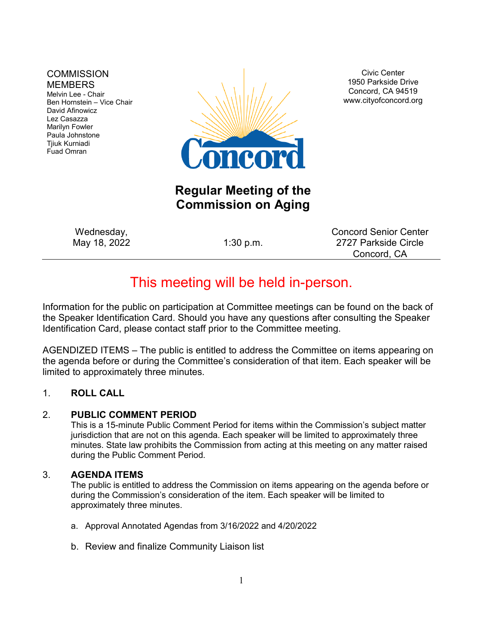#### **COMMISSION MEMBERS**

Melvin Lee - Chair Ben Hornstein – Vice Chair David Afinowicz Lez Casazza Marilyn Fowler Paula Johnstone Tjiuk Kurniadi Fuad Omran



Civic Center 1950 Parkside Drive Concord, CA 94519 www.cityofconcord.org

## **Regular Meeting of the Commission on Aging**

Wednesday, May 18, 2022 1:30 p.m.

Concord Senior Center 2727 Parkside Circle Concord, CA

# This meeting will be held in-person.

Information for the public on participation at Committee meetings can be found on the back of the Speaker Identification Card. Should you have any questions after consulting the Speaker Identification Card, please contact staff prior to the Committee meeting.

AGENDIZED ITEMS – The public is entitled to address the Committee on items appearing on the agenda before or during the Committee's consideration of that item. Each speaker will be limited to approximately three minutes.

#### 1. **ROLL CALL**

#### 2. **PUBLIC COMMENT PERIOD**

This is a 15-minute Public Comment Period for items within the Commission's subject matter jurisdiction that are not on this agenda. Each speaker will be limited to approximately three minutes. State law prohibits the Commission from acting at this meeting on any matter raised during the Public Comment Period.

#### 3. **AGENDA ITEMS**

The public is entitled to address the Commission on items appearing on the agenda before or during the Commission's consideration of the item. Each speaker will be limited to approximately three minutes.

- a. Approval Annotated Agendas from 3/16/2022 and 4/20/2022
- b. Review and finalize Community Liaison list